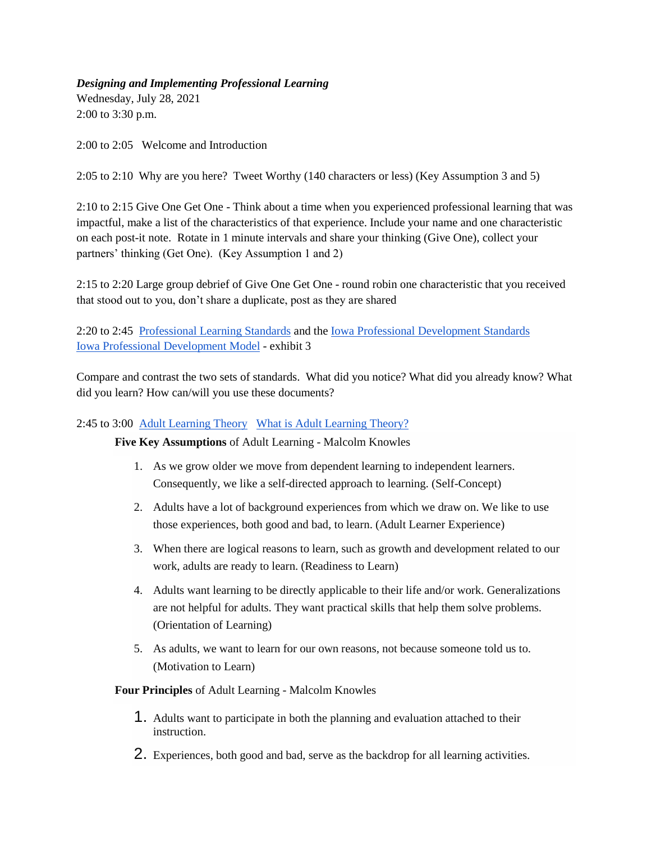## *Designing and Implementing Professional Learning*

Wednesday, July 28, 2021 2:00 to 3:30 p.m.

2:00 to 2:05 Welcome and Introduction

2:05 to 2:10 Why are you here? Tweet Worthy (140 characters or less) (Key Assumption 3 and 5)

2:10 to 2:15 Give One Get One - Think about a time when you experienced professional learning that was impactful, make a list of the characteristics of that experience. Include your name and one characteristic on each post-it note. Rotate in 1 minute intervals and share your thinking (Give One), collect your partners' thinking (Get One). (Key Assumption 1 and 2)

2:15 to 2:20 Large group debrief of Give One Get One - round robin one characteristic that you received that stood out to you, don't share a duplicate, post as they are shared

2:20 to 2:45 [Professional Learning Standards](https://docs.google.com/document/d/1zWM5i9mvHIrIYSwc8_JmTTFJDaJV550GJ5nwdrneGAs/edit) and the [Iowa Professional Development Standards](https://docs.google.com/document/d/1WhJ-vnys_xNtlxngxHLHF9v-KjoXE4caFGfoqFZdNXg/edit?usp=sharing)  [Iowa Professional Development Model](https://educateiowa.gov/documents/iowa-professional-development-model/2018/07/iowa-professional-development-model-technical) - exhibit 3

Compare and contrast the two sets of standards. What did you notice? What did you already know? What did you learn? How can/will you use these documents?

## 2:45 to 3:00 [Adult Learning Theory](https://www.neit.edu/blog/what-is-adult-learning-theory) [What is Adult Learning Theory?](https://www.learnupon.com/blog/adult-learning-theory/)

## **Five Key Assumptions** of Adult Learning - Malcolm Knowles

- 1. As we grow older we move from dependent learning to independent learners. Consequently, we like a self-directed approach to learning. (Self-Concept)
- 2. Adults have a lot of background experiences from which we draw on. We like to use those experiences, both good and bad, to learn. (Adult Learner Experience)
- 3. When there are logical reasons to learn, such as growth and development related to our work, adults are ready to learn. (Readiness to Learn)
- 4. Adults want learning to be directly applicable to their life and/or work. Generalizations are not helpful for adults. They want practical skills that help them solve problems. (Orientation of Learning)
- 5. As adults, we want to learn for our own reasons, not because someone told us to. (Motivation to Learn)

## **Four Principles** of Adult Learning - Malcolm Knowles

- 1. Adults want to participate in both the planning and evaluation attached to their instruction.
- 2. Experiences, both good and bad, serve as the backdrop for all learning activities.